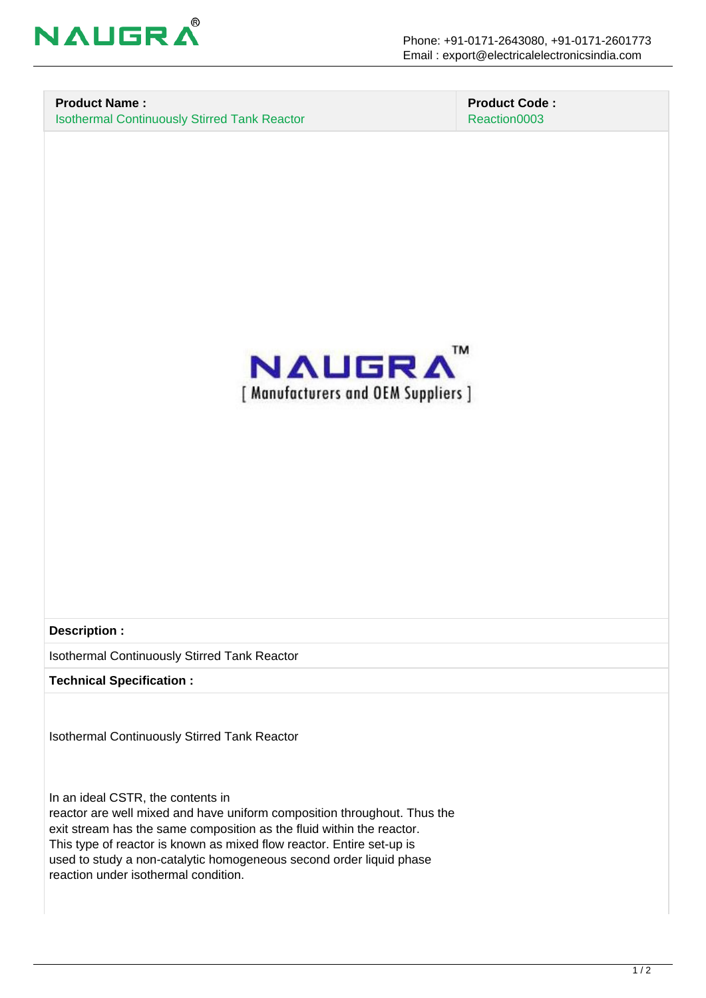

#### **Product Name :** Isothermal Continuously Stirred Tank Reactor

 **Product Code :** Reaction0003



**Description :**

Isothermal Continuously Stirred Tank Reactor

**Technical Specification :**

Isothermal Continuously Stirred Tank Reactor

In an ideal CSTR, the contents in

reactor are well mixed and have uniform composition throughout. Thus the exit stream has the same composition as the fluid within the reactor. This type of reactor is known as mixed flow reactor. Entire set-up is used to study a non-catalytic homogeneous second order liquid phase reaction under isothermal condition.